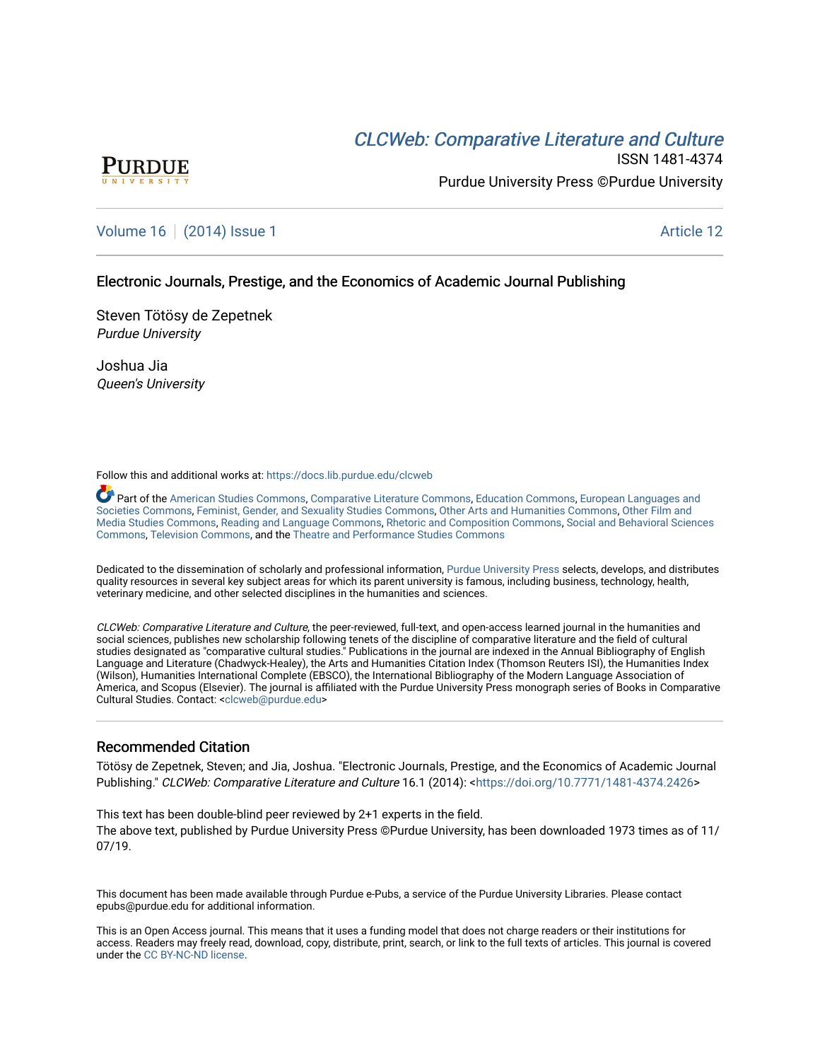# CLCW[eb: Comparative Liter](https://docs.lib.purdue.edu/clcweb)ature and Culture



ISSN 1481-4374 Purdue University Press ©Purdue University

# [Volume 16](https://docs.lib.purdue.edu/clcweb/vol16) | [\(2014\) Issue 1](https://docs.lib.purdue.edu/clcweb/vol16/iss1) Article 12

## Electronic Journals, Prestige, and the Economics of Academic Journal Publishing

Steven Tötösy de Zepetnek Purdue University

Joshua Jia Queen's University

Follow this and additional works at: [https://docs.lib.purdue.edu/clcweb](https://docs.lib.purdue.edu/clcweb?utm_source=docs.lib.purdue.edu%2Fclcweb%2Fvol16%2Fiss1%2F12&utm_medium=PDF&utm_campaign=PDFCoverPages)

Part of the [American Studies Commons](http://network.bepress.com/hgg/discipline/439?utm_source=docs.lib.purdue.edu%2Fclcweb%2Fvol16%2Fiss1%2F12&utm_medium=PDF&utm_campaign=PDFCoverPages), [Comparative Literature Commons,](http://network.bepress.com/hgg/discipline/454?utm_source=docs.lib.purdue.edu%2Fclcweb%2Fvol16%2Fiss1%2F12&utm_medium=PDF&utm_campaign=PDFCoverPages) [Education Commons,](http://network.bepress.com/hgg/discipline/784?utm_source=docs.lib.purdue.edu%2Fclcweb%2Fvol16%2Fiss1%2F12&utm_medium=PDF&utm_campaign=PDFCoverPages) [European Languages and](http://network.bepress.com/hgg/discipline/482?utm_source=docs.lib.purdue.edu%2Fclcweb%2Fvol16%2Fiss1%2F12&utm_medium=PDF&utm_campaign=PDFCoverPages) [Societies Commons](http://network.bepress.com/hgg/discipline/482?utm_source=docs.lib.purdue.edu%2Fclcweb%2Fvol16%2Fiss1%2F12&utm_medium=PDF&utm_campaign=PDFCoverPages), [Feminist, Gender, and Sexuality Studies Commons,](http://network.bepress.com/hgg/discipline/559?utm_source=docs.lib.purdue.edu%2Fclcweb%2Fvol16%2Fiss1%2F12&utm_medium=PDF&utm_campaign=PDFCoverPages) [Other Arts and Humanities Commons](http://network.bepress.com/hgg/discipline/577?utm_source=docs.lib.purdue.edu%2Fclcweb%2Fvol16%2Fiss1%2F12&utm_medium=PDF&utm_campaign=PDFCoverPages), [Other Film and](http://network.bepress.com/hgg/discipline/565?utm_source=docs.lib.purdue.edu%2Fclcweb%2Fvol16%2Fiss1%2F12&utm_medium=PDF&utm_campaign=PDFCoverPages)  [Media Studies Commons](http://network.bepress.com/hgg/discipline/565?utm_source=docs.lib.purdue.edu%2Fclcweb%2Fvol16%2Fiss1%2F12&utm_medium=PDF&utm_campaign=PDFCoverPages), [Reading and Language Commons](http://network.bepress.com/hgg/discipline/1037?utm_source=docs.lib.purdue.edu%2Fclcweb%2Fvol16%2Fiss1%2F12&utm_medium=PDF&utm_campaign=PDFCoverPages), [Rhetoric and Composition Commons,](http://network.bepress.com/hgg/discipline/573?utm_source=docs.lib.purdue.edu%2Fclcweb%2Fvol16%2Fiss1%2F12&utm_medium=PDF&utm_campaign=PDFCoverPages) [Social and Behavioral Sciences](http://network.bepress.com/hgg/discipline/316?utm_source=docs.lib.purdue.edu%2Fclcweb%2Fvol16%2Fiss1%2F12&utm_medium=PDF&utm_campaign=PDFCoverPages) [Commons,](http://network.bepress.com/hgg/discipline/316?utm_source=docs.lib.purdue.edu%2Fclcweb%2Fvol16%2Fiss1%2F12&utm_medium=PDF&utm_campaign=PDFCoverPages) [Television Commons,](http://network.bepress.com/hgg/discipline/1143?utm_source=docs.lib.purdue.edu%2Fclcweb%2Fvol16%2Fiss1%2F12&utm_medium=PDF&utm_campaign=PDFCoverPages) and the [Theatre and Performance Studies Commons](http://network.bepress.com/hgg/discipline/552?utm_source=docs.lib.purdue.edu%2Fclcweb%2Fvol16%2Fiss1%2F12&utm_medium=PDF&utm_campaign=PDFCoverPages)

Dedicated to the dissemination of scholarly and professional information, [Purdue University Press](http://www.thepress.purdue.edu/) selects, develops, and distributes quality resources in several key subject areas for which its parent university is famous, including business, technology, health, veterinary medicine, and other selected disciplines in the humanities and sciences.

CLCWeb: Comparative Literature and Culture, the peer-reviewed, full-text, and open-access learned journal in the humanities and social sciences, publishes new scholarship following tenets of the discipline of comparative literature and the field of cultural studies designated as "comparative cultural studies." Publications in the journal are indexed in the Annual Bibliography of English Language and Literature (Chadwyck-Healey), the Arts and Humanities Citation Index (Thomson Reuters ISI), the Humanities Index (Wilson), Humanities International Complete (EBSCO), the International Bibliography of the Modern Language Association of America, and Scopus (Elsevier). The journal is affiliated with the Purdue University Press monograph series of Books in Comparative Cultural Studies. Contact: [<clcweb@purdue.edu](mailto:clcweb@purdue.edu)>

### Recommended Citation

Tötösy de Zepetnek, Steven; and Jia, Joshua. "Electronic Journals, Prestige, and the Economics of Academic Journal Publishing." CLCWeb: Comparative Literature and Culture 16.1 (2014): [<https://doi.org/10.7771/1481-4374.2426](https://doi.org/10.7771/1481-4374.2426)>

This text has been double-blind peer reviewed by 2+1 experts in the field. The above text, published by Purdue University Press ©Purdue University, has been downloaded 1973 times as of 11/ 07/19.

This document has been made available through Purdue e-Pubs, a service of the Purdue University Libraries. Please contact epubs@purdue.edu for additional information.

This is an Open Access journal. This means that it uses a funding model that does not charge readers or their institutions for access. Readers may freely read, download, copy, distribute, print, search, or link to the full texts of articles. This journal is covered under the [CC BY-NC-ND license.](https://creativecommons.org/licenses/by-nc-nd/4.0/)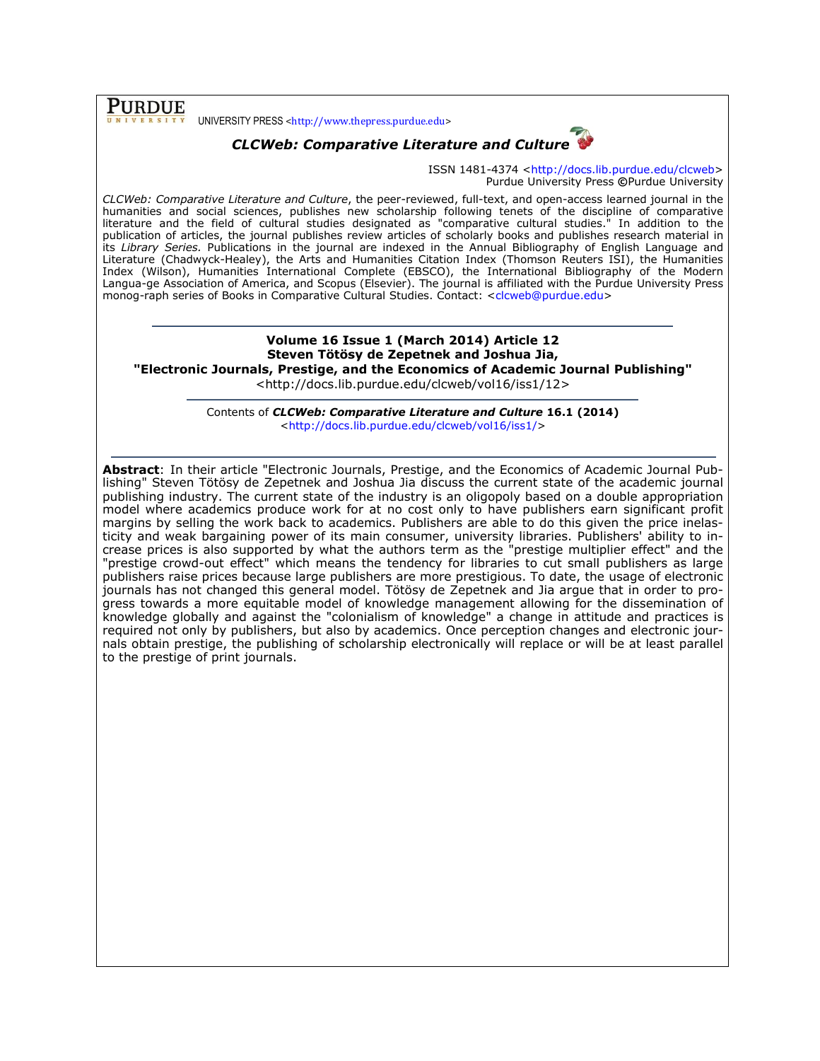### **PURDUE** UNIVERSITY PRESS [<http://www.thepress.purdue.edu>](http://www.thepress.purdue.edu/)

# *CLCWeb: Comparative Literature and Culture*

ISSN 1481-4374 [<http://docs.lib.purdue.edu/clcweb>](http://docs.lib.purdue.edu/clcweb) Purdue University Press **©**Purdue University

*CLCWeb: Comparative Literature and Culture*, the peer-reviewed, full-text, and open-access learned journal in the humanities and social sciences, publishes new scholarship following tenets of the discipline of comparative literature and the field of cultural studies designated as "comparative cultural studies." In addition to the publication of articles, the journal publishes review articles of scholarly books and publishes research material in its *Library Series.* Publications in the journal are indexed in the Annual Bibliography of English Language and Literature (Chadwyck-Healey), the Arts and Humanities Citation Index (Thomson Reuters ISI), the Humanities Index (Wilson), Humanities International Complete (EBSCO), the International Bibliography of the Modern Langua-ge Association of America, and Scopus (Elsevier). The journal is affiliated with the Purdue University Press monog-raph series of Books in Comparative Cultural Studies. Contact: [<clcweb@purdue.edu>](mailto:clcweb@purdue.edu)

# **Volume 16 Issue 1 (March 2014) Article 12 Steven Tötösy de Zepetnek and Joshua Jia, "Electronic Journals, Prestige, and the Economics of Academic Journal Publishing"**

<http://docs.lib.purdue.edu/clcweb/vol16/iss1/12>

Contents of *CLCWeb: Comparative Literature and Culture* **16.1 (2014)** [<http://docs.lib.purdue.edu/clcweb/vol16/iss1/>](http://docs.lib.purdue.edu/clcweb/vol16/iss1/)

**Abstract**: In their article "Electronic Journals, Prestige, and the Economics of Academic Journal Publishing" Steven Tötösy de Zepetnek and Joshua Jia discuss the current state of the academic journal publishing industry. The current state of the industry is an oligopoly based on a double appropriation model where academics produce work for at no cost only to have publishers earn significant profit margins by selling the work back to academics. Publishers are able to do this given the price inelasticity and weak bargaining power of its main consumer, university libraries. Publishers' ability to increase prices is also supported by what the authors term as the "prestige multiplier effect" and the "prestige crowd-out effect" which means the tendency for libraries to cut small publishers as large publishers raise prices because large publishers are more prestigious. To date, the usage of electronic journals has not changed this general model. Tötösy de Zepetnek and Jia argue that in order to progress towards a more equitable model of knowledge management allowing for the dissemination of knowledge globally and against the "colonialism of knowledge" a change in attitude and practices is required not only by publishers, but also by academics. Once perception changes and electronic journals obtain prestige, the publishing of scholarship electronically will replace or will be at least parallel to the prestige of print journals.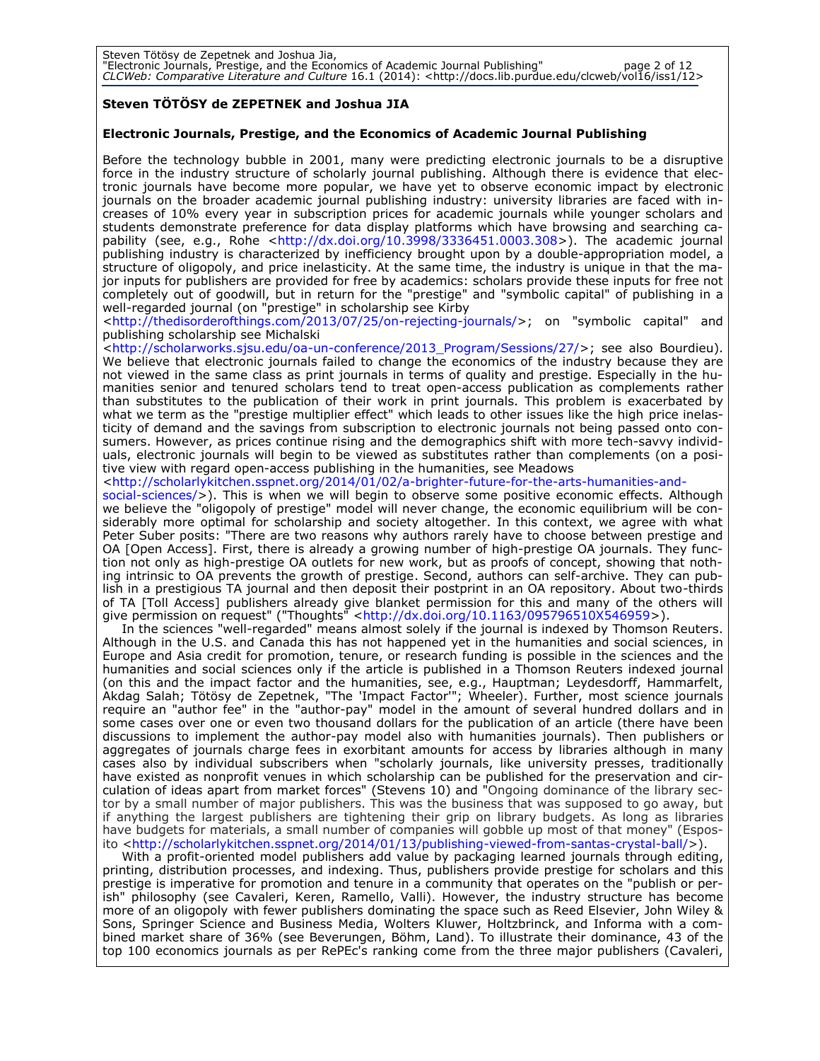# **Steven TÖTÖSY de ZEPETNEK and Joshua JIA**

### **Electronic Journals, Prestige, and the Economics of Academic Journal Publishing**

Before the technology bubble in 2001, many were predicting electronic journals to be a disruptive force in the industry structure of scholarly journal publishing. Although there is evidence that electronic journals have become more popular, we have yet to observe economic impact by electronic journals on the broader academic journal publishing industry: university libraries are faced with increases of 10% every year in subscription prices for academic journals while younger scholars and students demonstrate preference for data display platforms which have browsing and searching ca-pability (see, e.g., Rohe [<http://dx.doi.org/10.3998/3336451.0003.308>](http://dx.doi.org/10.3998/3336451.0003.308)). The academic journal publishing industry is characterized by inefficiency brought upon by a double-appropriation model, a structure of oligopoly, and price inelasticity. At the same time, the industry is unique in that the major inputs for publishers are provided for free by academics: scholars provide these inputs for free not completely out of goodwill, but in return for the "prestige" and "symbolic capital" of publishing in a well-regarded journal (on "prestige" in scholarship see Kirby

[<http://thedisorderofthings.com/2013/07/25/on-rejecting-journals/>](http://thedisorderofthings.com/2013/07/25/on-rejecting-journals/); on "symbolic capital" and publishing scholarship see Michalski

[<http://scholarworks.sjsu.edu/oa-un-conference/2013\\_Program/Sessions/27/>](http://scholarworks.sjsu.edu/oa-un-conference/2013_Program/Sessions/27/); see also Bourdieu). We believe that electronic journals failed to change the economics of the industry because they are not viewed in the same class as print journals in terms of quality and prestige. Especially in the humanities senior and tenured scholars tend to treat open-access publication as complements rather than substitutes to the publication of their work in print journals. This problem is exacerbated by what we term as the "prestige multiplier effect" which leads to other issues like the high price inelasticity of demand and the savings from subscription to electronic journals not being passed onto consumers. However, as prices continue rising and the demographics shift with more tech-savvy individuals, electronic journals will begin to be viewed as substitutes rather than complements (on a positive view with regard open-access publishing in the humanities, see Meadows

[<http://scholarlykitchen.sspnet.org/2014/01/02/a-brighter-future-for-the-arts-humanities-and-](http://scholarlykitchen.sspnet.org/2014/01/02/a-brighter-future-for-the-arts-humanities-and-social-sciences/)

[social-sciences/>](http://scholarlykitchen.sspnet.org/2014/01/02/a-brighter-future-for-the-arts-humanities-and-social-sciences/)). This is when we will begin to observe some positive economic effects. Although we believe the "oligopoly of prestige" model will never change, the economic equilibrium will be considerably more optimal for scholarship and society altogether. In this context, we agree with what Peter Suber posits: "There are two reasons why authors rarely have to choose between prestige and OA [Open Access]. First, there is already a growing number of high-prestige OA journals. They function not only as high-prestige OA outlets for new work, but as proofs of concept, showing that nothing intrinsic to OA prevents the growth of prestige. Second, authors can self-archive. They can publish in a prestigious TA journal and then deposit their postprint in an OA repository. About two-thirds of TA [Toll Access] publishers already give blanket permission for this and many of the others will give permission on request" ("Thoughts"  $\langle$ http://dx.doi.org/10.1163/095796510X546959>).

In the sciences "well-regarded" means almost solely if the journal is indexed by Thomson Reuters. Although in the U.S. and Canada this has not happened yet in the humanities and social sciences, in Europe and Asia credit for promotion, tenure, or research funding is possible in the sciences and the humanities and social sciences only if the article is published in a Thomson Reuters indexed journal (on this and the impact factor and the humanities, see, e.g., Hauptman; Leydesdorff, Hammarfelt, Akdag Salah; Tötösy de Zepetnek, "The 'Impact Factor'"; Wheeler). Further, most science journals require an "author fee" in the "author-pay" model in the amount of several hundred dollars and in some cases over one or even two thousand dollars for the publication of an article (there have been discussions to implement the author-pay model also with humanities journals). Then publishers or aggregates of journals charge fees in exorbitant amounts for access by libraries although in many cases also by individual subscribers when "scholarly journals, like university presses, traditionally have existed as nonprofit venues in which scholarship can be published for the preservation and circulation of ideas apart from market forces" (Stevens 10) and "Ongoing dominance of the library sector by a small number of major publishers. This was the business that was supposed to go away, but if anything the largest publishers are tightening their grip on library budgets. As long as libraries have budgets for materials, a small number of companies will gobble up most of that money" (Espos-ito [<http://scholarlykitchen.sspnet.org/2014/01/13/publishing-viewed-from-santas-crystal-ball/>](http://scholarlykitchen.sspnet.org/2014/01/13/publishing-viewed-from-santas-crystal-ball/)).

With a profit-oriented model publishers add value by packaging learned journals through editing, printing, distribution processes, and indexing. Thus, publishers provide prestige for scholars and this prestige is imperative for promotion and tenure in a community that operates on the "publish or perish" philosophy (see Cavaleri, Keren, Ramello, Valli). However, the industry structure has become more of an oligopoly with fewer publishers dominating the space such as Reed Elsevier, John Wiley & Sons, Springer Science and Business Media, Wolters Kluwer, Holtzbrinck, and Informa with a combined market share of 36% (see Beverungen, Böhm, Land). To illustrate their dominance, 43 of the top 100 economics journals as per RePEc's ranking come from the three major publishers (Cavaleri,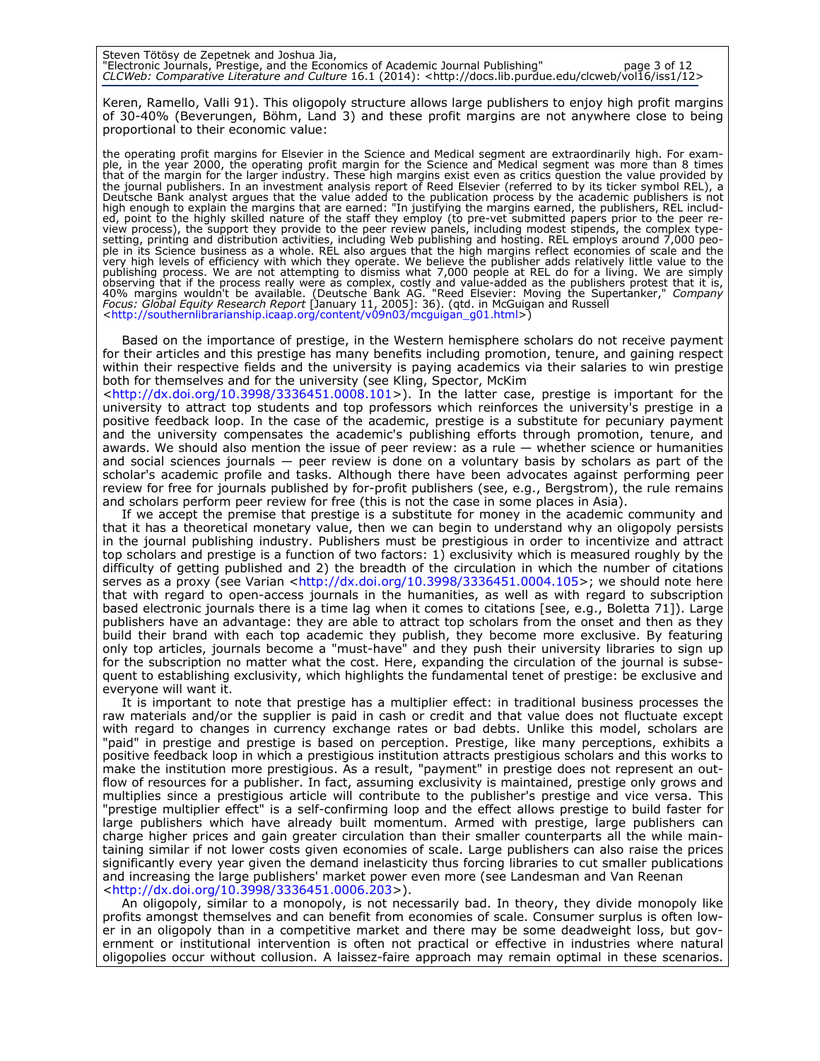Steven Tötösy de Zepetnek and Joshua Jia, "Electronic Journals, Prestige, and the Economics of Academic Journal Publishing" page 3 of 12 *CLCWeb: Comparative Literature and Culture* 16.1 (2014): <http://docs.lib.purdue.edu/clcweb/vol16/iss1/12>

Keren, Ramello, Valli 91). This oligopoly structure allows large publishers to enjoy high profit margins of 30-40% (Beverungen, Böhm, Land 3) and these profit margins are not anywhere close to being proportional to their economic value:

the operating profit margins for Elsevier in the Science and Medical segment are extraordinarily high. For example, in the year 2000, the operating profit margin for the Science and Medical segment was more than 8 times that of the margin for the larger industry. These high margins exist even as critics question the value provided by the journal publishers. In an investment analysis report of Reed Elsevier (referred to by its ticker symbol REL), a Deutsche Bank analyst argues that the value added to the publication process by the academic publishers is not<br>high enough to explain the margins that are earned: "In justifying the margins earned, the publishers, REL incl ed, point to the highly skilled nature of the staff they employ (to pre-vet submitted papers prior to the peer review process), the support they provide to the peer review panels, including modest stipends, the complex typesetting, printing and distribution activities, including Web publishing and hosting. REL employs around 7,000 people in its Science business as a whole. REL also argues that the high margins reflect economies of scale and the very high levels of efficiency with which they operate. We believe the publisher adds relatively little value to the publishing process. We are not attempting to dismiss what 7,000 people at REL do for a living. We are simply observing that if the process really were as complex, costly and value-added as the publishers protest that it is, 40% margins wouldn't be available. (Deutsche Bank AG. "Reed Elsevier: Moving the Supertanker," *Company*<br>*Focus: Global Equity Research Report* [January 11, 2005]: 36). (qtd. in McGuigan and Russell [<http://southernlibrarianship.icaap.org/content/v09n03/mcguigan\\_g01.html>](http://southernlibrarianship.icaap.org/content/v09n03/mcguigan_g01.html))

Based on the importance of prestige, in the Western hemisphere scholars do not receive payment for their articles and this prestige has many benefits including promotion, tenure, and gaining respect within their respective fields and the university is paying academics via their salaries to win prestige both for themselves and for the university (see Kling, Spector, McKim

[<http://dx.doi.org/10.3998/3336451.0008.101>](http://dx.doi.org/10.3998/3336451.0008.101)). In the latter case, prestige is important for the university to attract top students and top professors which reinforces the university's prestige in a positive feedback loop. In the case of the academic, prestige is a substitute for pecuniary payment and the university compensates the academic's publishing efforts through promotion, tenure, and awards. We should also mention the issue of peer review: as a rule  $-$  whether science or humanities and social sciences journals — peer review is done on a voluntary basis by scholars as part of the scholar's academic profile and tasks. Although there have been advocates against performing peer review for free for journals published by for-profit publishers (see, e.g., Bergstrom), the rule remains and scholars perform peer review for free (this is not the case in some places in Asia).

If we accept the premise that prestige is a substitute for money in the academic community and that it has a theoretical monetary value, then we can begin to understand why an oligopoly persists in the journal publishing industry. Publishers must be prestigious in order to incentivize and attract top scholars and prestige is a function of two factors: 1) exclusivity which is measured roughly by the difficulty of getting published and 2) the breadth of the circulation in which the number of citations serves as a proxy (see Varian [<http://dx.doi.org/10.3998/3336451.0004.105>](http://dx.doi.org/10.3998/3336451.0004.105); we should note here that with regard to open-access journals in the humanities, as well as with regard to subscription based electronic journals there is a time lag when it comes to citations [see, e.g., Boletta 71]). Large publishers have an advantage: they are able to attract top scholars from the onset and then as they build their brand with each top academic they publish, they become more exclusive. By featuring only top articles, journals become a "must-have" and they push their university libraries to sign up for the subscription no matter what the cost. Here, expanding the circulation of the journal is subsequent to establishing exclusivity, which highlights the fundamental tenet of prestige: be exclusive and everyone will want it.

It is important to note that prestige has a multiplier effect: in traditional business processes the raw materials and/or the supplier is paid in cash or credit and that value does not fluctuate except with regard to changes in currency exchange rates or bad debts. Unlike this model, scholars are "paid" in prestige and prestige is based on perception. Prestige, like many perceptions, exhibits a positive feedback loop in which a prestigious institution attracts prestigious scholars and this works to make the institution more prestigious. As a result, "payment" in prestige does not represent an outflow of resources for a publisher. In fact, assuming exclusivity is maintained, prestige only grows and multiplies since a prestigious article will contribute to the publisher's prestige and vice versa. This "prestige multiplier effect" is a self-confirming loop and the effect allows prestige to build faster for large publishers which have already built momentum. Armed with prestige, large publishers can charge higher prices and gain greater circulation than their smaller counterparts all the while maintaining similar if not lower costs given economies of scale. Large publishers can also raise the prices significantly every year given the demand inelasticity thus forcing libraries to cut smaller publications and increasing the large publishers' market power even more (see Landesman and Van Reenan [<http://dx.doi.org/10.3998/3336451.0006.203>](http://dx.doi.org/10.3998/3336451.0006.203)).

An oligopoly, similar to a monopoly, is not necessarily bad. In theory, they divide monopoly like profits amongst themselves and can benefit from economies of scale. Consumer surplus is often lower in an oligopoly than in a competitive market and there may be some deadweight loss, but government or institutional intervention is often not practical or effective in industries where natural oligopolies occur without collusion. A laissez-faire approach may remain optimal in these scenarios.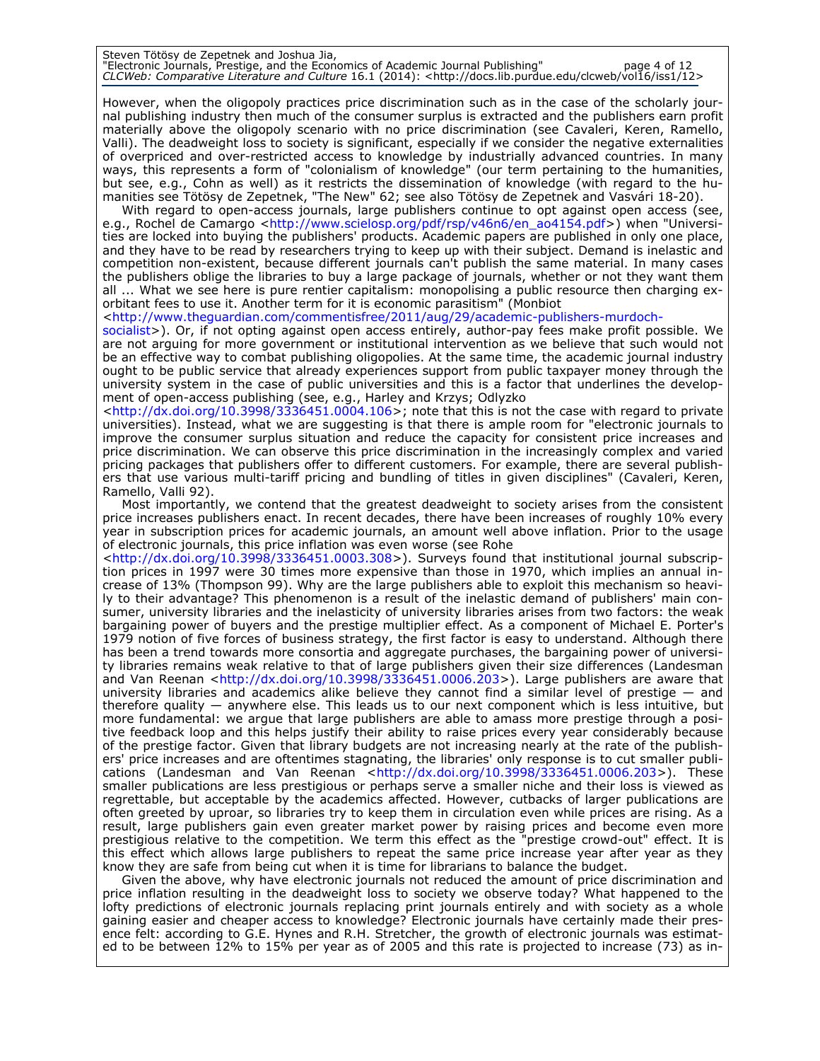### Steven Tötösy de Zepetnek and Joshua Jia, "Electronic Journals, Prestige, and the Economics of Academic Journal Publishing" page 4 of 12 *CLCWeb: Comparative Literature and Culture* 16.1 (2014): <http://docs.lib.purdue.edu/clcweb/vol16/iss1/12>

However, when the oligopoly practices price discrimination such as in the case of the scholarly journal publishing industry then much of the consumer surplus is extracted and the publishers earn profit materially above the oligopoly scenario with no price discrimination (see Cavaleri, Keren, Ramello, Valli). The deadweight loss to society is significant, especially if we consider the negative externalities of overpriced and over-restricted access to knowledge by industrially advanced countries. In many ways, this represents a form of "colonialism of knowledge" (our term pertaining to the humanities, but see, e.g., Cohn as well) as it restricts the dissemination of knowledge (with regard to the humanities see Tötösy de Zepetnek, "The New" 62; see also Tötösy de Zepetnek and Vasvári 18-20).

With regard to open-access journals, large publishers continue to opt against open access (see, e.g., Rochel de Camargo [<http://www.scielosp.org/pdf/rsp/v46n6/en\\_ao4154.pdf>](http://www.scielosp.org/pdf/rsp/v46n6/en_ao4154.pdf)) when "Universities are locked into buying the publishers' products. Academic papers are published in only one place, and they have to be read by researchers trying to keep up with their subject. Demand is inelastic and competition non-existent, because different journals can't publish the same material. In many cases the publishers oblige the libraries to buy a large package of journals, whether or not they want them all ... What we see here is pure rentier capitalism: monopolising a public resource then charging exorbitant fees to use it. Another term for it is economic parasitism" (Monbiot

[<http://www.theguardian.com/commentisfree/2011/aug/29/academic-publishers-murdoch-](http://www.theguardian.com/commentisfree/2011/aug/29/academic-publishers-murdoch-socialist)

[socialist>](http://www.theguardian.com/commentisfree/2011/aug/29/academic-publishers-murdoch-socialist)). Or, if not opting against open access entirely, author-pay fees make profit possible. We are not arguing for more government or institutional intervention as we believe that such would not be an effective way to combat publishing oligopolies. At the same time, the academic journal industry ought to be public service that already experiences support from public taxpayer money through the university system in the case of public universities and this is a factor that underlines the development of open-access publishing (see, e.g., Harley and Krzys; Odlyzko

[<http://dx.doi.org/10.3998/3336451.0004.106>](http://dx.doi.org/10.3998/3336451.0004.106); note that this is not the case with regard to private universities). Instead, what we are suggesting is that there is ample room for "electronic journals to improve the consumer surplus situation and reduce the capacity for consistent price increases and price discrimination. We can observe this price discrimination in the increasingly complex and varied pricing packages that publishers offer to different customers. For example, there are several publishers that use various multi-tariff pricing and bundling of titles in given disciplines" (Cavaleri, Keren, Ramello, Valli 92).

Most importantly, we contend that the greatest deadweight to society arises from the consistent price increases publishers enact. In recent decades, there have been increases of roughly 10% every year in subscription prices for academic journals, an amount well above inflation. Prior to the usage of electronic journals, this price inflation was even worse (see Rohe

[<http://dx.doi.org/10.3998/3336451.0003.308>](http://dx.doi.org/10.3998/3336451.0003.308)). Surveys found that institutional journal subscription prices in 1997 were 30 times more expensive than those in 1970, which implies an annual increase of 13% (Thompson 99). Why are the large publishers able to exploit this mechanism so heavily to their advantage? This phenomenon is a result of the inelastic demand of publishers' main consumer, university libraries and the inelasticity of university libraries arises from two factors: the weak bargaining power of buyers and the prestige multiplier effect. As a component of Michael E. Porter's 1979 notion of five forces of business strategy, the first factor is easy to understand. Although there has been a trend towards more consortia and aggregate purchases, the bargaining power of university libraries remains weak relative to that of large publishers given their size differences (Landesman and Van Reenan [<http://dx.doi.org/10.3998/3336451.0006.203>](http://dx.doi.org/10.3998/3336451.0006.203)). Large publishers are aware that university libraries and academics alike believe they cannot find a similar level of prestige — and therefore quality — anywhere else. This leads us to our next component which is less intuitive, but more fundamental: we argue that large publishers are able to amass more prestige through a positive feedback loop and this helps justify their ability to raise prices every year considerably because of the prestige factor. Given that library budgets are not increasing nearly at the rate of the publishers' price increases and are oftentimes stagnating, the libraries' only response is to cut smaller publi-cations (Landesman and Van Reenan [<http://dx.doi.org/10.3998/3336451.0006.203>](http://dx.doi.org/10.3998/3336451.0006.203)). These smaller publications are less prestigious or perhaps serve a smaller niche and their loss is viewed as regrettable, but acceptable by the academics affected. However, cutbacks of larger publications are often greeted by uproar, so libraries try to keep them in circulation even while prices are rising. As a result, large publishers gain even greater market power by raising prices and become even more prestigious relative to the competition. We term this effect as the "prestige crowd-out" effect. It is this effect which allows large publishers to repeat the same price increase year after year as they know they are safe from being cut when it is time for librarians to balance the budget.

Given the above, why have electronic journals not reduced the amount of price discrimination and price inflation resulting in the deadweight loss to society we observe today? What happened to the lofty predictions of electronic journals replacing print journals entirely and with society as a whole gaining easier and cheaper access to knowledge? Electronic journals have certainly made their presence felt: according to G.E. Hynes and R.H. Stretcher, the growth of electronic journals was estimated to be between 12% to 15% per year as of 2005 and this rate is projected to increase (73) as in-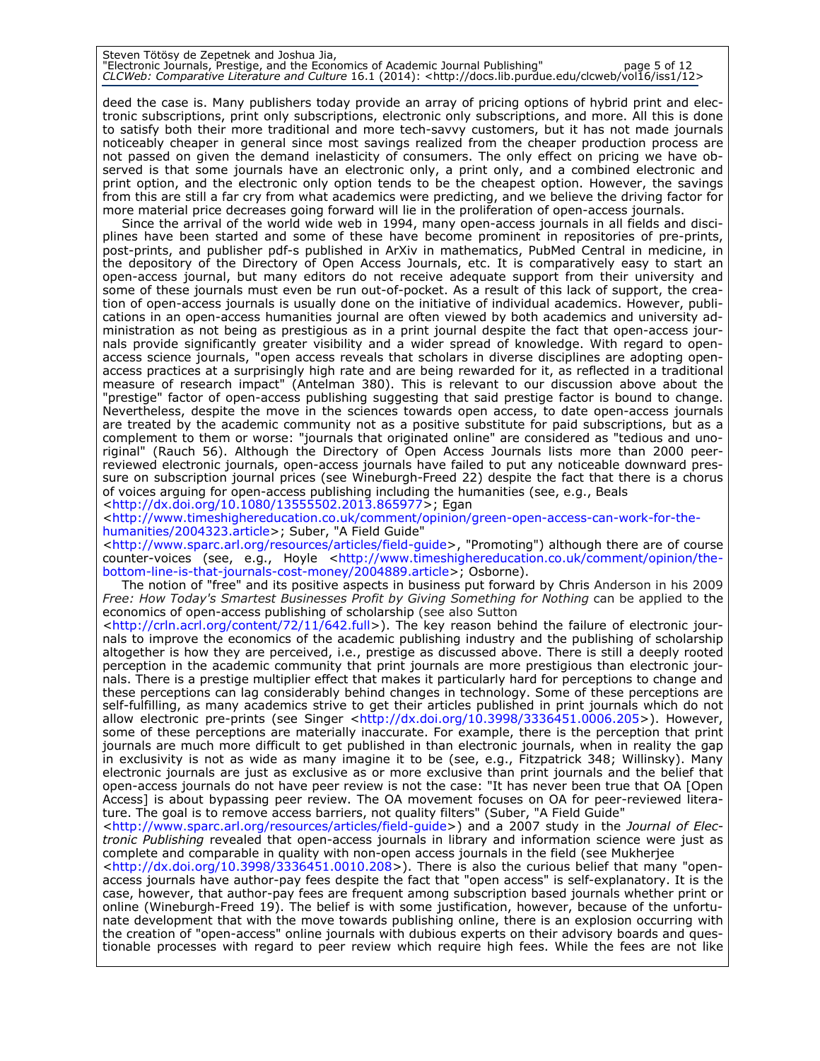### Steven Tötösy de Zepetnek and Joshua Jia, "Electronic Journals, Prestige, and the Economics of Academic Journal Publishing" page 5 of 12 *CLCWeb: Comparative Literature and Culture* 16.1 (2014): <http://docs.lib.purdue.edu/clcweb/vol16/iss1/12>

deed the case is. Many publishers today provide an array of pricing options of hybrid print and electronic subscriptions, print only subscriptions, electronic only subscriptions, and more. All this is done to satisfy both their more traditional and more tech-savvy customers, but it has not made journals noticeably cheaper in general since most savings realized from the cheaper production process are not passed on given the demand inelasticity of consumers. The only effect on pricing we have observed is that some journals have an electronic only, a print only, and a combined electronic and print option, and the electronic only option tends to be the cheapest option. However, the savings from this are still a far cry from what academics were predicting, and we believe the driving factor for more material price decreases going forward will lie in the proliferation of open-access journals.

Since the arrival of the world wide web in 1994, many open-access journals in all fields and disciplines have been started and some of these have become prominent in repositories of pre-prints, post-prints, and publisher pdf-s published in ArXiv in mathematics, PubMed Central in medicine, in the depository of the Directory of Open Access Journals, etc. It is comparatively easy to start an open-access journal, but many editors do not receive adequate support from their university and some of these journals must even be run out-of-pocket. As a result of this lack of support, the creation of open-access journals is usually done on the initiative of individual academics. However, publications in an open-access humanities journal are often viewed by both academics and university administration as not being as prestigious as in a print journal despite the fact that open-access journals provide significantly greater visibility and a wider spread of knowledge. With regard to openaccess science journals, "open access reveals that scholars in diverse disciplines are adopting openaccess practices at a surprisingly high rate and are being rewarded for it, as reflected in a traditional measure of research impact" (Antelman 380). This is relevant to our discussion above about the "prestige" factor of open-access publishing suggesting that said prestige factor is bound to change. Nevertheless, despite the move in the sciences towards open access, to date open-access journals are treated by the academic community not as a positive substitute for paid subscriptions, but as a complement to them or worse: "journals that originated online" are considered as "tedious and unoriginal" (Rauch 56). Although the Directory of Open Access Journals lists more than 2000 peerreviewed electronic journals, open-access journals have failed to put any noticeable downward pressure on subscription journal prices (see Wineburgh-Freed 22) despite the fact that there is a chorus of voices arguing for open-access publishing including the humanities (see, e.g., Beals [<http://dx.doi.org/10.1080/13555502.2013.865977>](http://dx.doi.org/10.1080/13555502.2013.865977); Egan

[<http://www.timeshighereducation.co.uk/comment/opinion/green-open-access-can-work-for-the](http://www.timeshighereducation.co.uk/comment/opinion/green-open-access-can-work-for-the-humanities/2004323.article)[humanities/2004323.article>](http://www.timeshighereducation.co.uk/comment/opinion/green-open-access-can-work-for-the-humanities/2004323.article); Suber, "A Field Guide"

[<http://www.sparc.arl.org/resources/articles/field-guide>](http://www.sparc.arl.org/resources/articles/field-guide), "Promoting") although there are of course counter-voices (see, e.g., Hoyle [<http://www.timeshighereducation.co.uk/comment/opinion/the](http://www.timeshighereducation.co.uk/comment/opinion/the-bottom-line-is-that-journals-cost-money/2004889.article)[bottom-line-is-that-journals-cost-money/2004889.article>](http://www.timeshighereducation.co.uk/comment/opinion/the-bottom-line-is-that-journals-cost-money/2004889.article); Osborne).

The notion of "free" and its positive aspects in business put forward by Chris Anderson in his 2009 *Free: How Today's Smartest Businesses Profit by Giving Something for Nothing* can be applied to the economics of open-access publishing of scholarship (see also Sutton

[<http://crln.acrl.org/content/72/11/642.full>](http://crln.acrl.org/content/72/11/642.full)). The key reason behind the failure of electronic journals to improve the economics of the academic publishing industry and the publishing of scholarship altogether is how they are perceived, i.e., prestige as discussed above. There is still a deeply rooted perception in the academic community that print journals are more prestigious than electronic journals. There is a prestige multiplier effect that makes it particularly hard for perceptions to change and these perceptions can lag considerably behind changes in technology. Some of these perceptions are self-fulfilling, as many academics strive to get their articles published in print journals which do not allow electronic pre-prints (see Singer [<http://dx.doi.org/10.3998/3336451.0006.205>](http://dx.doi.org/10.3998/3336451.0006.205)). However, some of these perceptions are materially inaccurate. For example, there is the perception that print journals are much more difficult to get published in than electronic journals, when in reality the gap in exclusivity is not as wide as many imagine it to be (see, e.g., Fitzpatrick 348; Willinsky). Many electronic journals are just as exclusive as or more exclusive than print journals and the belief that open-access journals do not have peer review is not the case: "It has never been true that OA [Open Access] is about bypassing peer review. The OA movement focuses on OA for peer-reviewed literature. The goal is to remove access barriers, not quality filters" (Suber, "A Field Guide"

[<http://www.sparc.arl.org/resources/articles/field-guide>](http://www.sparc.arl.org/resources/articles/field-guide)) and a 2007 study in the *Journal of Electronic Publishing* revealed that open-access journals in library and information science were just as complete and comparable in quality with non-open access journals in the field (see Mukherjee

[<http://dx.doi.org/10.3998/3336451.0010.208>](http://dx.doi.org/10.3998/3336451.0010.208)). There is also the curious belief that many "openaccess journals have author-pay fees despite the fact that "open access" is self-explanatory. It is the case, however, that author-pay fees are frequent among subscription based journals whether print or online (Wineburgh-Freed 19). The belief is with some justification, however, because of the unfortunate development that with the move towards publishing online, there is an explosion occurring with the creation of "open-access" online journals with dubious experts on their advisory boards and questionable processes with regard to peer review which require high fees. While the fees are not like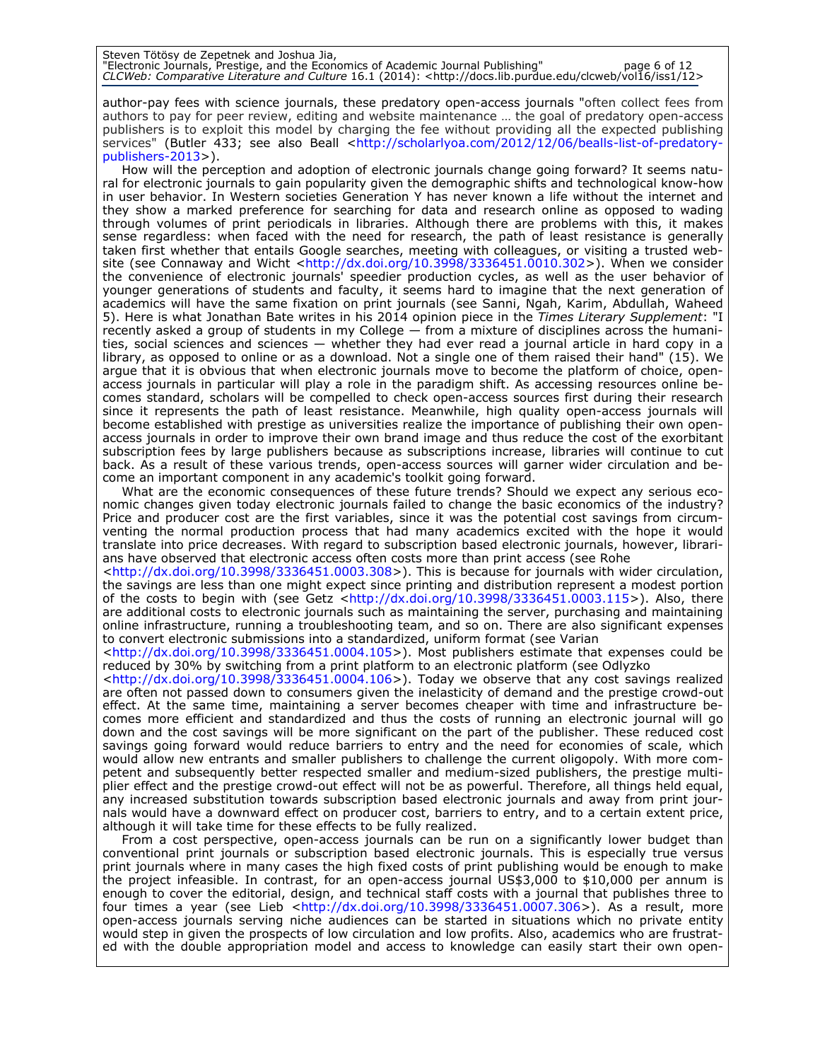#### Steven Tötösy de Zepetnek and Joshua Jia, "Electronic Journals, Prestige, and the Economics of Academic Journal Publishing" page 6 of 12 *CLCWeb: Comparative Literature and Culture* 16.1 (2014): <http://docs.lib.purdue.edu/clcweb/vol16/iss1/12>

author-pay fees with science journals, these predatory open-access journals "often collect fees from authors to pay for peer review, editing and website maintenance … the goal of predatory open-access publishers is to exploit this model by charging the fee without providing all the expected publishing services" (Butler 433; see also Beall [<http://scholarlyoa.com/2012/12/06/bealls-list-of-predatory](http://scholarlyoa.com/2012/12/06/bealls-list-of-predatory-publishers-2013)[publishers-2013>](http://scholarlyoa.com/2012/12/06/bealls-list-of-predatory-publishers-2013)).

How will the perception and adoption of electronic journals change going forward? It seems natural for electronic journals to gain popularity given the demographic shifts and technological know-how in user behavior. In Western societies Generation Y has never known a life without the internet and they show a marked preference for searching for data and research online as opposed to wading through volumes of print periodicals in libraries. Although there are problems with this, it makes sense regardless: when faced with the need for research, the path of least resistance is generally taken first whether that entails Google searches, meeting with colleagues, or visiting a trusted web-site (see Connaway and Wicht [<http://dx.doi.org/10.3998/3336451.0010.302>](http://dx.doi.org/10.3998/3336451.0010.302)). When we consider the convenience of electronic journals' speedier production cycles, as well as the user behavior of younger generations of students and faculty, it seems hard to imagine that the next generation of academics will have the same fixation on print journals (see Sanni, Ngah, Karim, Abdullah, Waheed 5). Here is what Jonathan Bate writes in his 2014 opinion piece in the *Times Literary Supplement*: "I recently asked a group of students in my College — from a mixture of disciplines across the humanities, social sciences and sciences — whether they had ever read a journal article in hard copy in a library, as opposed to online or as a download. Not a single one of them raised their hand" (15). We argue that it is obvious that when electronic journals move to become the platform of choice, openaccess journals in particular will play a role in the paradigm shift. As accessing resources online becomes standard, scholars will be compelled to check open-access sources first during their research since it represents the path of least resistance. Meanwhile, high quality open-access journals will become established with prestige as universities realize the importance of publishing their own openaccess journals in order to improve their own brand image and thus reduce the cost of the exorbitant subscription fees by large publishers because as subscriptions increase, libraries will continue to cut back. As a result of these various trends, open-access sources will garner wider circulation and become an important component in any academic's toolkit going forward.

What are the economic consequences of these future trends? Should we expect any serious economic changes given today electronic journals failed to change the basic economics of the industry? Price and producer cost are the first variables, since it was the potential cost savings from circumventing the normal production process that had many academics excited with the hope it would translate into price decreases. With regard to subscription based electronic journals, however, librarians have observed that electronic access often costs more than print access (see Rohe

[<http://dx.doi.org/10.3998/3336451.0003.308>](http://dx.doi.org/10.3998/3336451.0003.308)). This is because for journals with wider circulation, the savings are less than one might expect since printing and distribution represent a modest portion of the costs to begin with (see Getz [<http://dx.doi.org/10.3998/3336451.0003.115>](http://dx.doi.org/10.3998/3336451.0003.115)). Also, there are additional costs to electronic journals such as maintaining the server, purchasing and maintaining online infrastructure, running a troubleshooting team, and so on. There are also significant expenses to convert electronic submissions into a standardized, uniform format (see Varian

[<http://dx.doi.org/10.3998/3336451.0004.105>](http://dx.doi.org/10.3998/3336451.0004.105)). Most publishers estimate that expenses could be reduced by 30% by switching from a print platform to an electronic platform (see Odlyzko

[<http://dx.doi.org/10.3998/3336451.0004.106>](http://dx.doi.org/10.3998/3336451.0004.106)). Today we observe that any cost savings realized are often not passed down to consumers given the inelasticity of demand and the prestige crowd-out effect. At the same time, maintaining a server becomes cheaper with time and infrastructure becomes more efficient and standardized and thus the costs of running an electronic journal will go down and the cost savings will be more significant on the part of the publisher. These reduced cost savings going forward would reduce barriers to entry and the need for economies of scale, which would allow new entrants and smaller publishers to challenge the current oligopoly. With more competent and subsequently better respected smaller and medium-sized publishers, the prestige multiplier effect and the prestige crowd-out effect will not be as powerful. Therefore, all things held equal, any increased substitution towards subscription based electronic journals and away from print journals would have a downward effect on producer cost, barriers to entry, and to a certain extent price, although it will take time for these effects to be fully realized.

From a cost perspective, open-access journals can be run on a significantly lower budget than conventional print journals or subscription based electronic journals. This is especially true versus print journals where in many cases the high fixed costs of print publishing would be enough to make the project infeasible. In contrast, for an open-access journal US\$3,000 to \$10,000 per annum is enough to cover the editorial, design, and technical staff costs with a journal that publishes three to four times a year (see Lieb [<http://dx.doi.org/10.3998/3336451.0007.306>](http://dx.doi.org/10.3998/3336451.0007.306)). As a result, more open-access journals serving niche audiences can be started in situations which no private entity would step in given the prospects of low circulation and low profits. Also, academics who are frustrated with the double appropriation model and access to knowledge can easily start their own open-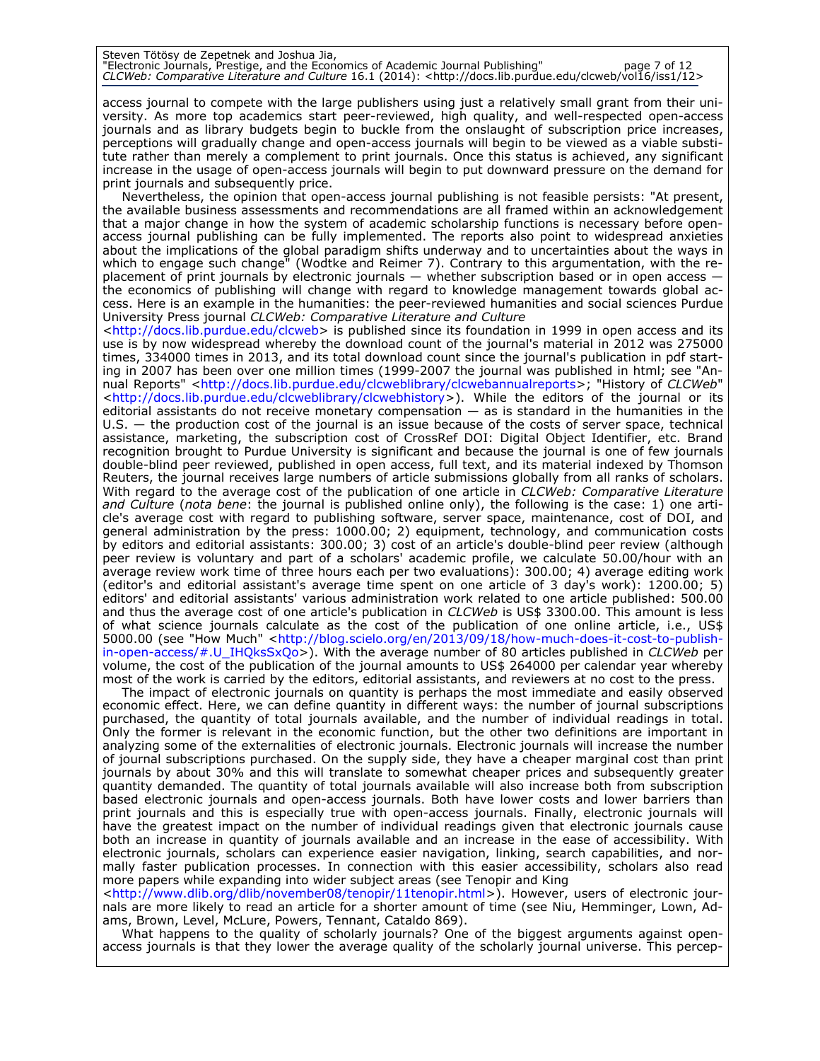### Steven Tötösy de Zepetnek and Joshua Jia, "Electronic Journals, Prestige, and the Economics of Academic Journal Publishing" page 7 of 12 *CLCWeb: Comparative Literature and Culture* 16.1 (2014): <http://docs.lib.purdue.edu/clcweb/vol16/iss1/12>

access journal to compete with the large publishers using just a relatively small grant from their university. As more top academics start peer-reviewed, high quality, and well-respected open-access journals and as library budgets begin to buckle from the onslaught of subscription price increases, perceptions will gradually change and open-access journals will begin to be viewed as a viable substitute rather than merely a complement to print journals. Once this status is achieved, any significant increase in the usage of open-access journals will begin to put downward pressure on the demand for print journals and subsequently price.

Nevertheless, the opinion that open-access journal publishing is not feasible persists: "At present, the available business assessments and recommendations are all framed within an acknowledgement that a major change in how the system of academic scholarship functions is necessary before openaccess journal publishing can be fully implemented. The reports also point to widespread anxieties about the implications of the global paradigm shifts underway and to uncertainties about the ways in which to engage such change" (Wodtke and Reimer 7). Contrary to this argumentation, with the replacement of print journals by electronic journals — whether subscription based or in open access the economics of publishing will change with regard to knowledge management towards global access. Here is an example in the humanities: the peer-reviewed humanities and social sciences Purdue University Press journal *CLCWeb: Comparative Literature and Culture*

[<http://docs.lib.purdue.edu/clcweb>](http://docs.lib.purdue.edu/clcweb) is published since its foundation in 1999 in open access and its use is by now widespread whereby the download count of the journal's material in 2012 was 275000 times, 334000 times in 2013, and its total download count since the journal's publication in pdf starting in 2007 has been over one million times (1999-2007 the journal was published in html; see "An-nual Reports" [<http://docs.lib.purdue.edu/clcweblibrary/clcwebannualreports>](http://docs.lib.purdue.edu/clcweblibrary/clcwebannualreports); "History of *CLCWeb*" [<http://docs.lib.purdue.edu/clcweblibrary/clcwebhistory>](http://docs.lib.purdue.edu/clcweblibrary/clcwebhistory)). While the editors of the journal or its editorial assistants do not receive monetary compensation — as is standard in the humanities in the U.S. — the production cost of the journal is an issue because of the costs of server space, technical assistance, marketing, the subscription cost of CrossRef DOI: Digital Object Identifier, etc. Brand recognition brought to Purdue University is significant and because the journal is one of few journals double-blind peer reviewed, published in open access, full text, and its material indexed by Thomson Reuters, the journal receives large numbers of article submissions globally from all ranks of scholars. With regard to the average cost of the publication of one article in *CLCWeb: Comparative Literature and Culture* (*nota bene*: the journal is published online only), the following is the case: 1) one article's average cost with regard to publishing software, server space, maintenance, cost of DOI, and general administration by the press: 1000.00; 2) equipment, technology, and communication costs by editors and editorial assistants: 300.00; 3) cost of an article's double-blind peer review (although peer review is voluntary and part of a scholars' academic profile, we calculate 50.00/hour with an average review work time of three hours each per two evaluations): 300.00; 4) average editing work (editor's and editorial assistant's average time spent on one article of 3 day's work): 1200.00; 5) editors' and editorial assistants' various administration work related to one article published: 500.00 and thus the average cost of one article's publication in *CLCWeb* is US\$ 3300.00. This amount is less of what science journals calculate as the cost of the publication of one online article, i.e., US\$ 5000.00 (see "How Much" [<http://blog.scielo.org/en/2013/09/18/how-much-does-it-cost-to-publish](http://blog.scielo.org/en/2013/09/18/how-much-does-it-cost-to-publish-in-open-access/#.U_IHQksSxQo)[in-open-access/#.U\\_IHQksSxQo>](http://blog.scielo.org/en/2013/09/18/how-much-does-it-cost-to-publish-in-open-access/#.U_IHQksSxQo)). With the average number of 80 articles published in *CLCWeb* per volume, the cost of the publication of the journal amounts to US\$ 264000 per calendar year whereby most of the work is carried by the editors, editorial assistants, and reviewers at no cost to the press.

The impact of electronic journals on quantity is perhaps the most immediate and easily observed economic effect. Here, we can define quantity in different ways: the number of journal subscriptions purchased, the quantity of total journals available, and the number of individual readings in total. Only the former is relevant in the economic function, but the other two definitions are important in analyzing some of the externalities of electronic journals. Electronic journals will increase the number of journal subscriptions purchased. On the supply side, they have a cheaper marginal cost than print journals by about 30% and this will translate to somewhat cheaper prices and subsequently greater quantity demanded. The quantity of total journals available will also increase both from subscription based electronic journals and open-access journals. Both have lower costs and lower barriers than print journals and this is especially true with open-access journals. Finally, electronic journals will have the greatest impact on the number of individual readings given that electronic journals cause both an increase in quantity of journals available and an increase in the ease of accessibility. With electronic journals, scholars can experience easier navigation, linking, search capabilities, and normally faster publication processes. In connection with this easier accessibility, scholars also read more papers while expanding into wider subject areas (see Tenopir and King

[<http://www.dlib.org/dlib/november08/tenopir/11tenopir.html>](http://www.dlib.org/dlib/november08/tenopir/11tenopir.html)). However, users of electronic journals are more likely to read an article for a shorter amount of time (see Niu, Hemminger, Lown, Adams, Brown, Level, McLure, Powers, Tennant, Cataldo 869).

What happens to the quality of scholarly journals? One of the biggest arguments against openaccess journals is that they lower the average quality of the scholarly journal universe. This percep-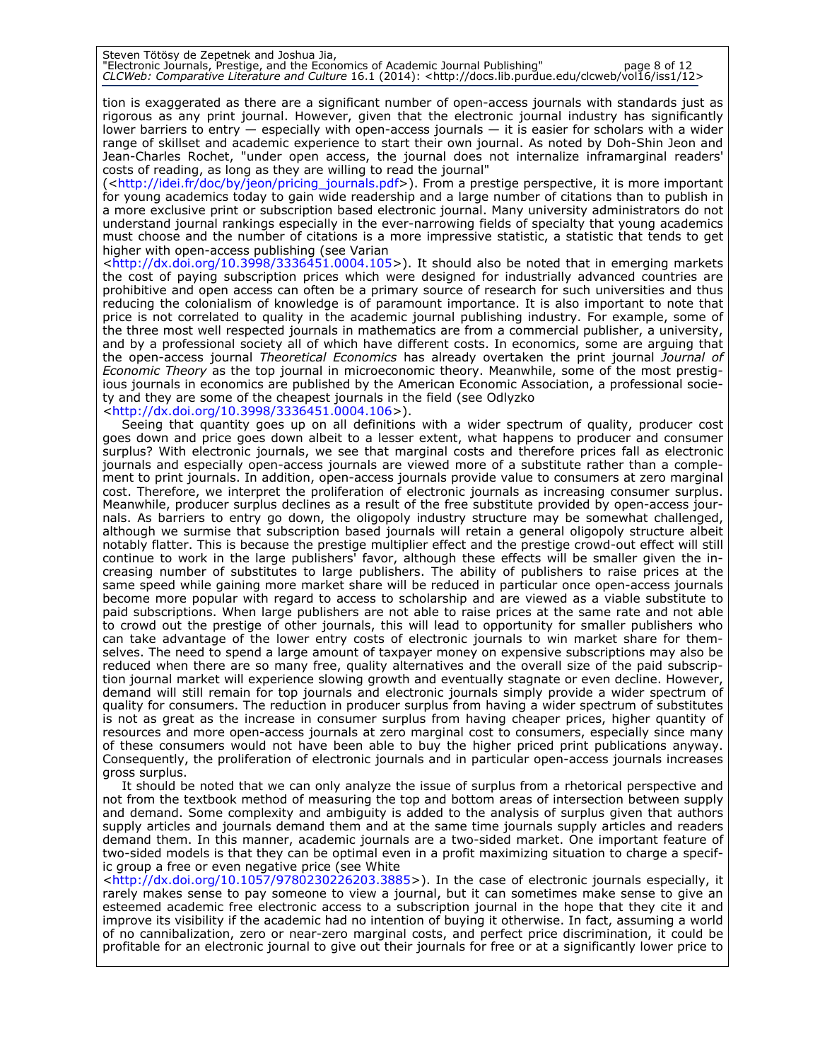### Steven Tötösy de Zepetnek and Joshua Jia, "Electronic Journals, Prestige, and the Economics of Academic Journal Publishing" page 8 of 12 *CLCWeb: Comparative Literature and Culture* 16.1 (2014): <http://docs.lib.purdue.edu/clcweb/vol16/iss1/12>

tion is exaggerated as there are a significant number of open-access journals with standards just as rigorous as any print journal. However, given that the electronic journal industry has significantly lower barriers to entry  $-$  especially with open-access journals  $-$  it is easier for scholars with a wider range of skillset and academic experience to start their own journal. As noted by Doh-Shin Jeon and Jean-Charles Rochet, "under open access, the journal does not internalize inframarginal readers' costs of reading, as long as they are willing to read the journal"

([<http://idei.fr/doc/by/jeon/pricing\\_journals.pdf>](http://idei.fr/doc/by/jeon/pricing_journals.pdf)). From a prestige perspective, it is more important for young academics today to gain wide readership and a large number of citations than to publish in a more exclusive print or subscription based electronic journal. Many university administrators do not understand journal rankings especially in the ever-narrowing fields of specialty that young academics must choose and the number of citations is a more impressive statistic, a statistic that tends to get higher with open-access publishing (see Varian

[<http://dx.doi.org/10.3998/3336451.0004.105>](http://dx.doi.org/10.3998/3336451.0004.105)). It should also be noted that in emerging markets the cost of paying subscription prices which were designed for industrially advanced countries are prohibitive and open access can often be a primary source of research for such universities and thus reducing the colonialism of knowledge is of paramount importance. It is also important to note that price is not correlated to quality in the academic journal publishing industry. For example, some of the three most well respected journals in mathematics are from a commercial publisher, a university, and by a professional society all of which have different costs. In economics, some are arguing that the open-access journal *Theoretical Economics* has already overtaken the print journal *Journal of Economic Theory* as the top journal in microeconomic theory. Meanwhile, some of the most prestigious journals in economics are published by the American Economic Association, a professional society and they are some of the cheapest journals in the field (see Odlyzko [<http://dx.doi.org/10.3998/3336451.0004.106>](http://dx.doi.org/10.3998/3336451.0004.106)).

Seeing that quantity goes up on all definitions with a wider spectrum of quality, producer cost goes down and price goes down albeit to a lesser extent, what happens to producer and consumer surplus? With electronic journals, we see that marginal costs and therefore prices fall as electronic journals and especially open-access journals are viewed more of a substitute rather than a complement to print journals. In addition, open-access journals provide value to consumers at zero marginal cost. Therefore, we interpret the proliferation of electronic journals as increasing consumer surplus. Meanwhile, producer surplus declines as a result of the free substitute provided by open-access journals. As barriers to entry go down, the oligopoly industry structure may be somewhat challenged, although we surmise that subscription based journals will retain a general oligopoly structure albeit notably flatter. This is because the prestige multiplier effect and the prestige crowd-out effect will still continue to work in the large publishers' favor, although these effects will be smaller given the increasing number of substitutes to large publishers. The ability of publishers to raise prices at the same speed while gaining more market share will be reduced in particular once open-access journals become more popular with regard to access to scholarship and are viewed as a viable substitute to paid subscriptions. When large publishers are not able to raise prices at the same rate and not able to crowd out the prestige of other journals, this will lead to opportunity for smaller publishers who can take advantage of the lower entry costs of electronic journals to win market share for themselves. The need to spend a large amount of taxpayer money on expensive subscriptions may also be reduced when there are so many free, quality alternatives and the overall size of the paid subscription journal market will experience slowing growth and eventually stagnate or even decline. However, demand will still remain for top journals and electronic journals simply provide a wider spectrum of quality for consumers. The reduction in producer surplus from having a wider spectrum of substitutes is not as great as the increase in consumer surplus from having cheaper prices, higher quantity of resources and more open-access journals at zero marginal cost to consumers, especially since many of these consumers would not have been able to buy the higher priced print publications anyway. Consequently, the proliferation of electronic journals and in particular open-access journals increases gross surplus.

It should be noted that we can only analyze the issue of surplus from a rhetorical perspective and not from the textbook method of measuring the top and bottom areas of intersection between supply and demand. Some complexity and ambiguity is added to the analysis of surplus given that authors supply articles and journals demand them and at the same time journals supply articles and readers demand them. In this manner, academic journals are a two-sided market. One important feature of two-sided models is that they can be optimal even in a profit maximizing situation to charge a specific group a free or even negative price (see White

[<http://dx.doi.org/10.1057/9780230226203.3885>](http://dx.doi.org/10.1057/9780230226203.3885)). In the case of electronic journals especially, it rarely makes sense to pay someone to view a journal, but it can sometimes make sense to give an esteemed academic free electronic access to a subscription journal in the hope that they cite it and improve its visibility if the academic had no intention of buying it otherwise. In fact, assuming a world of no cannibalization, zero or near-zero marginal costs, and perfect price discrimination, it could be profitable for an electronic journal to give out their journals for free or at a significantly lower price to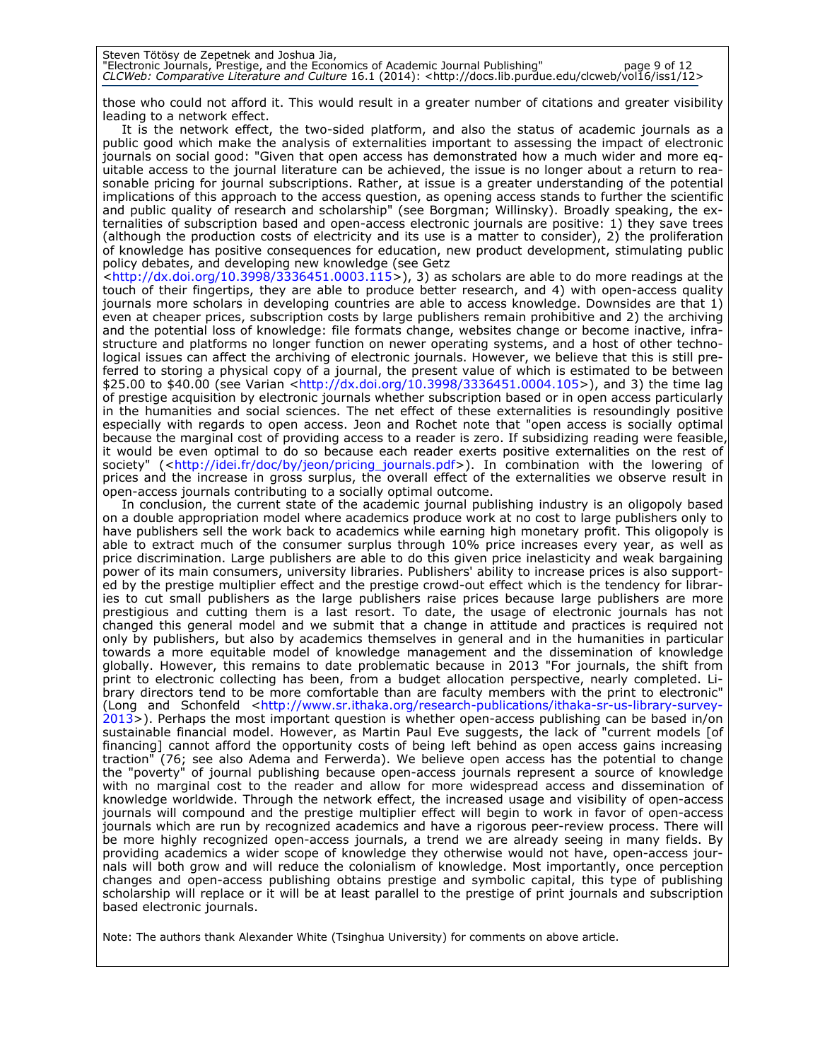### Steven Tötösy de Zepetnek and Joshua Jia, "Electronic Journals, Prestige, and the Economics of Academic Journal Publishing" page 9 of 12 *CLCWeb: Comparative Literature and Culture* 16.1 (2014): <http://docs.lib.purdue.edu/clcweb/vol16/iss1/12>

those who could not afford it. This would result in a greater number of citations and greater visibility leading to a network effect.

It is the network effect, the two-sided platform, and also the status of academic journals as a public good which make the analysis of externalities important to assessing the impact of electronic journals on social good: "Given that open access has demonstrated how a much wider and more equitable access to the journal literature can be achieved, the issue is no longer about a return to reasonable pricing for journal subscriptions. Rather, at issue is a greater understanding of the potential implications of this approach to the access question, as opening access stands to further the scientific and public quality of research and scholarship" (see Borgman; Willinsky). Broadly speaking, the externalities of subscription based and open-access electronic journals are positive: 1) they save trees (although the production costs of electricity and its use is a matter to consider), 2) the proliferation of knowledge has positive consequences for education, new product development, stimulating public policy debates, and developing new knowledge (see Getz

[<http://dx.doi.org/10.3998/3336451.0003.115>](http://dx.doi.org/10.3998/3336451.0003.115)), 3) as scholars are able to do more readings at the touch of their fingertips, they are able to produce better research, and 4) with open-access quality journals more scholars in developing countries are able to access knowledge. Downsides are that 1) even at cheaper prices, subscription costs by large publishers remain prohibitive and 2) the archiving and the potential loss of knowledge: file formats change, websites change or become inactive, infrastructure and platforms no longer function on newer operating systems, and a host of other technological issues can affect the archiving of electronic journals. However, we believe that this is still preferred to storing a physical copy of a journal, the present value of which is estimated to be between \$25.00 to \$40.00 (see Varian [<http://dx.doi.org/10.3998/3336451.0004.105>](http://dx.doi.org/10.3998/3336451.0004.105)), and 3) the time lag of prestige acquisition by electronic journals whether subscription based or in open access particularly in the humanities and social sciences. The net effect of these externalities is resoundingly positive especially with regards to open access. Jeon and Rochet note that "open access is socially optimal because the marginal cost of providing access to a reader is zero. If subsidizing reading were feasible, it would be even optimal to do so because each reader exerts positive externalities on the rest of society" ([<http://idei.fr/doc/by/jeon/pricing\\_journals.pdf>](http://idei.fr/doc/by/jeon/pricing_journals.pdf)). In combination with the lowering of prices and the increase in gross surplus, the overall effect of the externalities we observe result in open-access journals contributing to a socially optimal outcome.

In conclusion, the current state of the academic journal publishing industry is an oligopoly based on a double appropriation model where academics produce work at no cost to large publishers only to have publishers sell the work back to academics while earning high monetary profit. This oligopoly is able to extract much of the consumer surplus through 10% price increases every year, as well as price discrimination. Large publishers are able to do this given price inelasticity and weak bargaining power of its main consumers, university libraries. Publishers' ability to increase prices is also supported by the prestige multiplier effect and the prestige crowd-out effect which is the tendency for libraries to cut small publishers as the large publishers raise prices because large publishers are more prestigious and cutting them is a last resort. To date, the usage of electronic journals has not changed this general model and we submit that a change in attitude and practices is required not only by publishers, but also by academics themselves in general and in the humanities in particular towards a more equitable model of knowledge management and the dissemination of knowledge globally. However, this remains to date problematic because in 2013 "For journals, the shift from print to electronic collecting has been, from a budget allocation perspective, nearly completed. Library directors tend to be more comfortable than are faculty members with the print to electronic" (Long and Schonfeld [<http://www.sr.ithaka.org/research-publications/ithaka-sr-us-library-survey-](http://www.sr.ithaka.org/research-publications/ithaka-sr-us-library-survey-2013)[2013>](http://www.sr.ithaka.org/research-publications/ithaka-sr-us-library-survey-2013)). Perhaps the most important question is whether open-access publishing can be based in/on sustainable financial model. However, as Martin Paul Eve suggests, the lack of "current models [of financing] cannot afford the opportunity costs of being left behind as open access gains increasing traction" (76; see also Adema and Ferwerda). We believe open access has the potential to change the "poverty" of journal publishing because open-access journals represent a source of knowledge with no marginal cost to the reader and allow for more widespread access and dissemination of knowledge worldwide. Through the network effect, the increased usage and visibility of open-access journals will compound and the prestige multiplier effect will begin to work in favor of open-access journals which are run by recognized academics and have a rigorous peer-review process. There will be more highly recognized open-access journals, a trend we are already seeing in many fields. By providing academics a wider scope of knowledge they otherwise would not have, open-access journals will both grow and will reduce the colonialism of knowledge. Most importantly, once perception changes and open-access publishing obtains prestige and symbolic capital, this type of publishing scholarship will replace or it will be at least parallel to the prestige of print journals and subscription based electronic journals.

Note: The authors thank Alexander White (Tsinghua University) for comments on above article.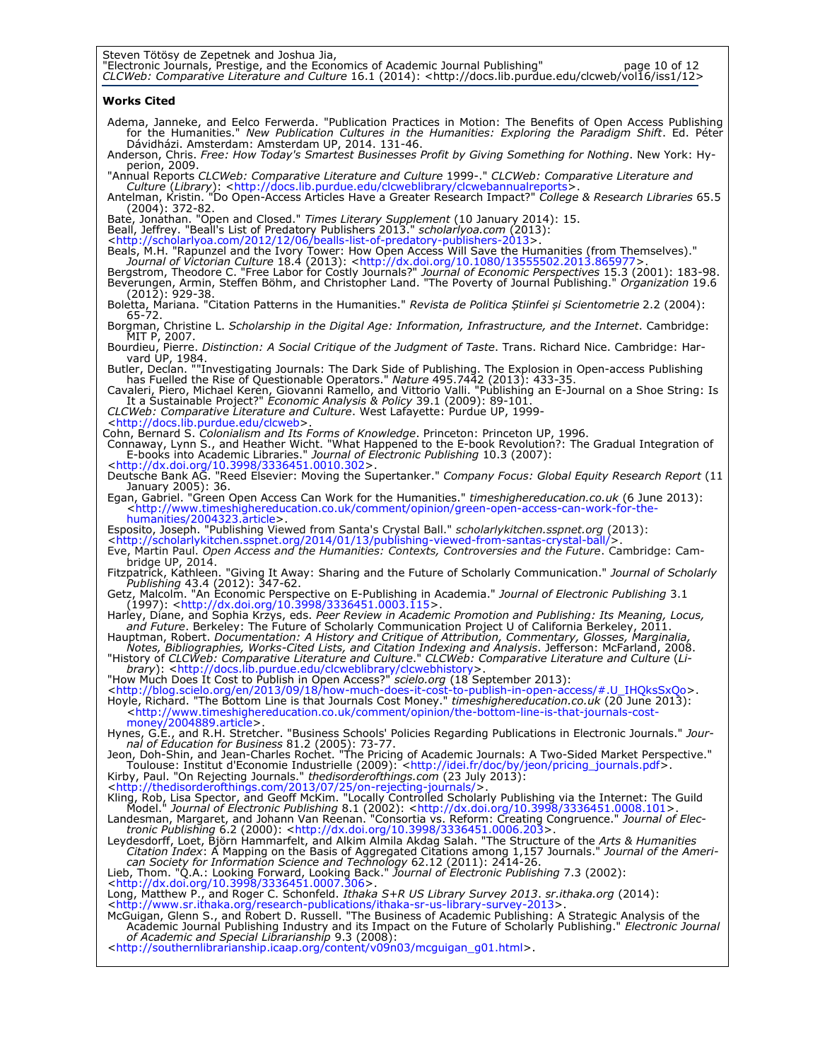|  |  | Steven Tötösy de Zepetnek and Joshua Jia, |  |
|--|--|-------------------------------------------|--|
|  |  |                                           |  |

|  | "Electronic Journals, Prestige, and the Economics of Academic Journal Publishing" | page 10 of 12                                                                                                                                           |
|--|-----------------------------------------------------------------------------------|---------------------------------------------------------------------------------------------------------------------------------------------------------|
|  |                                                                                   | <clcweb: (2014):="" 12="" 16.1="" <http:="" and="" clcweb="" comparative="" culture="" docs.lib.purdue.edu="" iss1="" literature="" vol16=""></clcweb:> |

### **Works Cited**

Adema, Janneke, and Eelco Ferwerda. "Publication Practices in Motion: The Benefits of Open Access Publishing for the Humanities." *New Publication Cultures in the Humanities: Exploring the Paradigm Shift*. Ed. Péter Dávidházi. Amsterdam: Amsterdam UP, 2014. 131-46. Anderson, Chris. *Free: How Today's Smartest Businesses Profit by Giving Something for Nothing*. New York: Hyperion, 2009. "Annual Reports *CLCWeb: Comparative Literature and Culture* 1999-." *CLCWeb: Comparative Literature and Culture* (*Library*): [<http://docs.lib.purdue.edu/clcweblibrary/clcwebannualreports>](http://docs.lib.purdue.edu/clcweblibrary/clcwebannualreports). Antelman, Kristin. "Do Open-Access Articles Have a Greater Research Impact?" *College & Research Libraries* 65.5 Antelman, Kristin. "I<br>(2004): 372-82. Bate, Jonathan. "Open and Closed." *Times Literary Supplement* (10 January 2014): 15. Beall, Jeffrey. "Beall's List of Predatory Publishers 2013." *scholarlyoa.com* (2013): [<http://scholarlyoa.com/2012/12/06/bealls-list-of-predatory-publishers-2013>](http://scholarlyoa.com/2012/12/06/bealls-list-of-predatory-publishers-2013). Beals, M.H. "Rapunzel and the Ivory Tower: How Open Access Will Save the Humanities (from Themselves)." *Journal of Victorian Culture* 18.4 (2013): [<http://dx.doi.org/10.1080/13555502.2013.865977>](http://dx.doi.org/10.1080/13555502.2013.865977). Bergstrom, Theodore C. "Free Labor for Costly Journals?" *Journal of Economic Perspectives* 15.3 (2001): 183-98.<br>Beverungen, Armin, Steffen Böhm, and Christopher Land. "The Poverty of Journal Publishing." *Organization* 19 (2012): 929-38. Boletta, Mariana. "Citation Patterns in the Humanities." *Revista de Politica Știinfei și Scientometrie* 2.2 (2004): 65-72. Borgman, Christine L. *Scholarship in the Digital Age: Information, Infrastructure, and the Internet*. Cambridge: MIT P, 2007. Bourdieu, Pierre. *Distinction: A Social Critique of the Judgment of Taste*. Trans. Richard Nice. Cambridge: Harvard UP, 1984. Butler, Declan. ""Investigating Journals: The Dark Side of Publishing. The Explosion in Open-access Publishing has Fuelled the Rise of Questionable Operators." *Nature* 495.7442 (2013): 433-35. Cavaleri, Piero, Michael Keren, Giovanni Ramello, and Vittorio Valli. "Publishing an E-Journal on a Shoe String: Is It a Sustainable Project?" *Economic Analysis & Policy* 39.1 (2009): 89-101. *CLCWeb: Comparative Literature and Culture*. West Lafayette: Purdue UP, 1999- CLCWeb: Comparative Literature and Culture. West Lafayette: Purdue UP, 1999-<br>http://docs.lib.purdue.edu/clcweb>. Cohn, Bernard S. *Colonialism and Its Forms of Knowledge*. Princeton: Princeton UP, 1996. Connaway, Lynn S., and Heather Wicht. "What Happened to the E-book Revolution?: The Gradual Integration of E-books into Academic Libraries." *Journal of Electronic Publishing* 10.3 (2007): [<http://dx.doi.org/10.3998/3336451.0010.302>](http://dx.doi.org/10.3998/3336451.0010.302). Deutsche Bank AG. "Reed Elsevier: Moving the Supertanker." *Company Focus: Global Equity Research Report* (11 January 2005): 36. Egan, Gabriel. "Green Open Access Can Work for the Humanities." *timeshighereducation.co.uk* (6 June 2013): [<http://www.timeshighereducation.co.uk/comment/opinion/green-open-access-can-work-for-the](http://www.timeshighereducation.co.uk/comment/opinion/green-open-access-can-work-for-the-humanities/2004323.article)[humanities/2004323.article>](http://www.timeshighereducation.co.uk/comment/opinion/green-open-access-can-work-for-the-humanities/2004323.article). Esposito, Joseph. "Publishing Viewed from Santa's Crystal Ball." *scholarlykitchen.sspnet.org* (2013): [<http://scholarlykitchen.sspnet.org/2014/01/13/publishing-viewed-from-santas-crystal-ball/>](http://scholarlykitchen.sspnet.org/2014/01/13/publishing-viewed-from-santas-crystal-ball/). Eve, Martin Paul. *Open Access and the Humanities: Contexts, Controversies and the Future*. Cambridge: Cambridge UP, 2014. Fitzpatrick, Kathleen. "Giving It Away: Sharing and the Future of Scholarly Communication." *Journal of Scholarly Publishing* 43.4 (2012): 347-62. Getz, Malcolm. "An Economic Perspective on E-Publishing in Academia." *Journal of Electronic Publishing* 3.1 (1997): [<http://dx.doi.org/10.3998/3336451.0003.115>](http://dx.doi.org/10.3998/3336451.0003.115). Harley, Diane, and Sophia Krzys, eds. *Peer Review in Academic Promotion and Publishing: Its Meaning, Locus, and Future*. Berkeley: The Future of Scholarly Communication Project U of California Berkeley, 2011. Hauptman, Robert. *Documentation: A History and Critique of Attribution, Commentary, Glosses, Marginalia, Notes, Bibliographies, Works-Cited Lists, and Citation Indexing and Analysis*. Jefferson: McFarland, 2008. "History of CLCWeb: Comparative Literature and Culture." CLCWeb: Comparative Literature and Culture (Li-<br>brary): [<http://docs.lib.purdue.edu/clcweblibrary/clcwebhistory>](http://docs.lib.purdue.edu/clcweblibrary/clcwebhistory). "How Much Does It Cost to Publish in Open Access?" *scielo.org* (18 September 2013): [<http://blog.scielo.org/en/2013/09/18/how-much-does-it-cost-to-publish-in-open-access/#.U\\_IHQksSxQo>](http://blog.scielo.org/en/2013/09/18/how-much-does-it-cost-to-publish-in-open-access/#.U_IHQksSxQo). Hoyle, Richard. "The Bottom Line is that Journals Cost Money." *timeshighereducation.co.uk* (20 June 2013): [<http://www.timeshighereducation.co.uk/comment/opinion/the-bottom-line-is-that-journals-cost](http://www.timeshighereducation.co.uk/comment/opinion/the-bottom-line-is-that-journals-cost-money/2004889.article)[money/2004889.article>](http://www.timeshighereducation.co.uk/comment/opinion/the-bottom-line-is-that-journals-cost-money/2004889.article). Hynes, G.E., and R.H. Stretcher. "Business Schools' Policies Regarding Publications in Electronic Journals." *Journal of Education for Business* 81.2 (2005): 73-77. Jeon, Doh-Shin, and Jean-Charles Rochet. "The Pricing of Academic Journals: A Two-Sided Market Perspective." Toulouse: Institut d'Economie Industrielle (2009): [<http://idei.fr/doc/by/jeon/pricing\\_journals.pdf>](http://idei.fr/doc/by/jeon/pricing_journals.pdf). Kirby, Paul. "On Rejecting Journals." *thedisorderofthings.com* (23 July 2013): [<http://thedisorderofthings.com/2013/07/25/on-rejecting-journals/>](http://thedisorderofthings.com/2013/07/25/on-rejecting-journals/). Kling, Rob, Lisa Spector, and Geoff McKim. "Locally Controlled Scholarly Publishing via the Internet: The Guild Model." *Journal of Electronic Publishing* 8.1 (2002): [<http://dx.doi.org/10.3998/3336451.0008.101>](http://dx.doi.org/10.3998/3336451.0008.101). Landesman, Margaret, and Johann Van Reenan. "Consortia vs. Reform: Creating Congruence." *Journal of Elec-tronic Publishing* 6.2 (2000): [<http://dx.doi.org/10.3998/3336451.0006.203>](http://dx.doi.org/10.3998/3336451.0006.203). Leydesdorff, Loet, Björn Hammarfelt, and Alkim Almila Akdag Salah. "The Structure of the *Arts & Humanities Citation Index*: A Mapping on the Basis of Aggregated Citations among 1,157 Journals." *Journal of the American Society for Information Science and Technology* 62.12 (2011): 2414-26. Lieb, Thom. "Q.A.: Looking Forward, Looking Back." *Journal of Electronic Publishing* 7.3 (2002): [<http://dx.doi.org/10.3998/3336451.0007.306>](http://dx.doi.org/10.3998/3336451.0007.306). Long, Matthew P., and Roger C. Schonfeld. *Ithaka S+R US Library Survey 2013*. *sr.ithaka.org* (2014): [<http://www.sr.ithaka.org/research-publications/ithaka-sr-us-library-survey-2013>](http://www.sr.ithaka.org/research-publications/ithaka-sr-us-library-survey-2013). McGuigan, Glenn S., and Robert D. Russell. "The Business of Academic Publishing: A Strategic Analysis of the<br>Academic Journal Publishing Industry and its Impact on the Future of Scholarly Publishing." *Electronic Journal of Academic and Special Librarianship* 9.3 (2008): [<http://southernlibrarianship.icaap.org/content/v09n03/mcguigan\\_g01.html>](http://southernlibrarianship.icaap.org/content/v09n03/mcguigan_g01.html).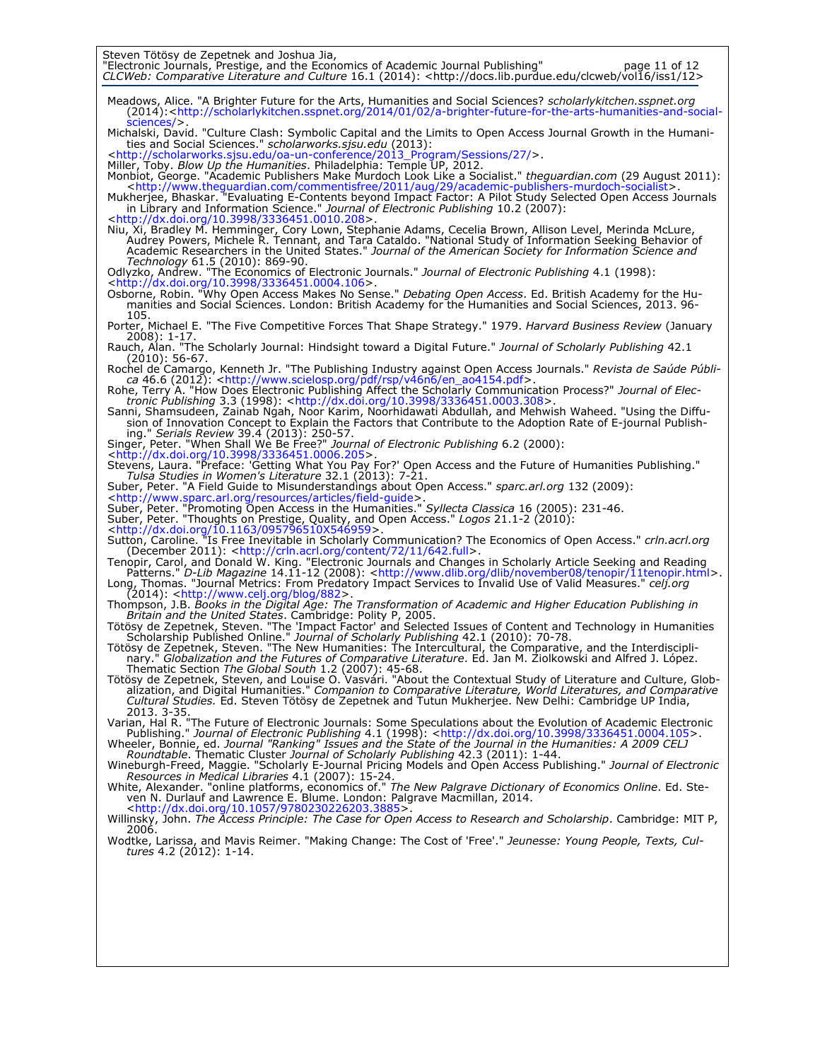Steven Tötösy de Zepetnek and Joshua Jia, "Electronic Journals, Prestige, and the Economics of Academic Journal Publishing" page 11 of 12 *CLCWeb: Comparative Literature and Culture* 16.1 (2014): <http://docs.lib.purdue.edu/clcweb/vol16/iss1/12> Meadows, Alice. "A Brighter Future for the Arts, Humanities and Social Sciences? *scholarlykitchen.sspnet.org*  (2014):[<http://scholarlykitchen.sspnet.org/2014/01/02/a-brighter-future-for-the-arts-humanities-and-social](http://scholarlykitchen.sspnet.org/2014/01/02/a-brighter-future-for-the-arts-humanities-and-social-sciences/)[sciences/>](http://scholarlykitchen.sspnet.org/2014/01/02/a-brighter-future-for-the-arts-humanities-and-social-sciences/). Michalski, David. "Culture Clash: Symbolic Capital and the Limits to Open Access Journal Growth in the Humanities and Social Sciences." *scholarworks.sjsu.edu* (2013): [<http://scholarworks.sjsu.edu/oa-un-conference/2013\\_Program/Sessions/27/>](http://scholarworks.sjsu.edu/oa-un-conference/2013_Program/Sessions/27/). Miller, Toby. *Blow Up the Humanities*. Philadelphia: Temple UP, 2012. Monbiot, George. "Academic Publishers Make Murdoch Look Like a Socialist." *theguardian.com* (29 August 2011): [<http://www.theguardian.com/commentisfree/2011/aug/29/academic-publishers-murdoch-socialist>](http://www.theguardian.com/commentisfree/2011/aug/29/academic-publishers-murdoch-socialist). Mukherjee, Bhaskar. "Evaluating E-Contents beyond Impact Factor: A Pilot Study Selected Open Access Journals in Library and Information Science." *Journal of Electronic Publishing* 10.2 (2007): [<http://dx.doi.org/10.3998/3336451.0010.208>](http://dx.doi.org/10.3998/3336451.0010.208). Niu, Xi, Bradley M. Hemminger, Cory Lown, Stephanie Adams, Cecelia Brown, Allison Level, Merinda McLure, Audrey Powers, Michele R. Tennant, and Tara Cataldo. "National Study of Information Seeking Behavior of<br>Academic Researchers in the United States." Jo*urnal of the American Society for Information Science and Technology* 61.5 (2010): 869-90. Odlyzko, Andrew. "The Economics of Electronic Journals." *Journal of Electronic Publishing* 4.1 (1998): [<http://dx.doi.org/10.3998/3336451.0004.106>](http://dx.doi.org/10.3998/3336451.0004.106). Osborne, Robin. "Why Open Access Makes No Sense." *Debating Open Access*. Ed. British Academy for the Humanities and Social Sciences. London: British Academy for the Humanities and Social Sciences, 2013. 96- 105. Porter, Michael E. "The Five Competitive Forces That Shape Strategy." 1979. *Harvard Business Review* (January 2008): 1-17. Rauch, Alan. "The Scholarly Journal: Hindsight toward a Digital Future." *Journal of Scholarly Publishing* 42.1 (2010): 56-67. Rochel de Camargo, Kenneth Jr. "The Publishing Industry against Open Access Journals." *Revista de Saúde Públi-ca* 46.6 (2012): [<http://www.scielosp.org/pdf/rsp/v46n6/en\\_ao4154.pdf>](http://www.scielosp.org/pdf/rsp/v46n6/en_ao4154.pdf). Rohe, Terry A. "How Does Electronic Publishing Affect the Scholarly Communication Process?" *Journal of Electronic Publishing* 3.3 (1998): [<http://dx.doi.org/10.3998/3336451.0003.308>](http://dx.doi.org/10.3998/3336451.0003.308). Sanni, Shamsudeen, Zainab Ngah, Noor Karim, Noorhidawati Abdullah, and Mehwish Waheed. "Using the Diffusion of Innovation Concept to Explain the Factors that Contribute to the Adoption Rate of E-journal Publishing." *Serials Review* 39.4 (2013): 250-57. Singer, Peter. "When Shall We Be Free?" *Journal of Electronic Publishing* 6.2 (2000): [<http://dx.doi.org/10.3998/3336451.0006.205>](http://dx.doi.org/10.3998/3336451.0006.205). Stevens, Laura. "Preface: 'Getting What You Pay For?' Open Access and the Future of Humanities Publishing." *Tulsa Studies in Women's Literature* 32.1 (2013): 7-21. Suber, Peter. "A Field Guide to Misunderstandings about Open Access." *sparc.arl.org* 132 (2009): [<http://www.sparc.arl.org/resources/articles/field-guide>](http://www.sparc.arl.org/resources/articles/field-guide). Suber, Peter. "Promoting Open Access in the Humanities." *Syllecta Classica* 16 (2005): 231-46. Suber, Peter. "Thoughts on Prestige, Quality, and Open Access." *Logos* 21.1-2 (2010): [<http://dx.doi.org/10.1163/095796510X546959>](http://dx.doi.org/10.1163/095796510X546959). Sutton, Caroline. "Is Free Inevitable in Scholarly Communication? The Economics of Open Access." *crln.acrl.org*  (December 2011): [<http://crln.acrl.org/content/72/11/642.full>](http://crln.acrl.org/content/72/11/642.full). Tenopir, Carol, and Donald W. King. "Electronic Journals and Changes in Scholarly Article Seeking and Reading Patterns." *D-Lib Magazine* 14.11-12 (2008): [<http://www.dlib.org/dlib/november08/tenopir/11tenopir.html>](http://www.dlib.org/dlib/november08/tenopir/11tenopir.html). Long, Thomas. "Journal Metrics: From Predatory Impact Services to Invalid Use of Valid Measures." *celj.org*  $(2014):$  [<http://www.celj.org/blog/882>](http://www.celj.org/blog/882). Thompson, J.B. *Books in the Digital Age: The Transformation of Academic and Higher Education Publishing in Britain and the United States*. Cambridge: Polity P, 2005. Tötösy de Zepetnek, Steven. "The 'Impact Factor' and Selected Issues of Content and Technology in Humanities Scholarship Published Online." *Journal of Scholarly Publishing* 42.1 (2010): 70-78. Tötösy de Zepetnek, Steven. "The New Humanities: The Intercultural, the Comparative, and the Interdisciplinary." *Globalization and the Futures of Comparative Literature*. Ed. Jan M. Żiolkowski and Alfred J. López.<br>Thematic Section *The Global South* 1.2 (2007): 45-68. Tötösy de Zepetnek, Steven, and Louise O. Vasvári. "About the Contextual Study of Literature and Culture, Globalization, and Digital Humanities." *Companion to Comparative Literature, World Literatures, and Comparative*<br>*Cultural Studies.* Ed. Steven Tötösy de Zepetnek and Tutun Mukherjee. New Delhi: Cambridge UP India, 2013. 3-35. Varian, Hal R. "The Future of Electronic Journals: Some Speculations about the Evolution of Academic Electronic<br>Publishing." Journal of Electronic Publishing 4.1 (1998): [<http://dx.doi.org/10.3998/3336451.0004.105>](http://dx.doi.org/10.3998/3336451.0004.105). Wheeler, Bonnie, ed. *Journal "Ranking" Issues and the State of the Journal in the Humanities: A 2009 CELJ* Roundtable. Thematic Cluster Journal of Scholarly Publishing 42.3 (2011): 1-44.<br>Wineburgh-Freed, Maggie. "Scholarly E-Journal Pricing Models and Open Access Publishing." Journal of Electronic *Resources in Medical Libraries* 4.1 (2007): 15-24. White, Alexander. "online platforms, economics of." The New Palgrave Dictionary of Economics Online. Ed. Ste-<br>ven N. Durlauf and Lawrence E. Blume. London: Palgrave Macmillan, 2014. [<http://dx.doi.org/10.1057/9780230226203.3885>](http://dx.doi.org/10.1057/9780230226203.3885). Willinsky, John. *The Access Principle: The Case for Open Access to Research and Scholarship*. Cambridge: MIT P, 2006. Wodtke, Larissa, and Mavis Reimer. "Making Change: The Cost of 'Free'." *Jeunesse: Young People, Texts, Cultures* 4.2 (2012): 1-14.